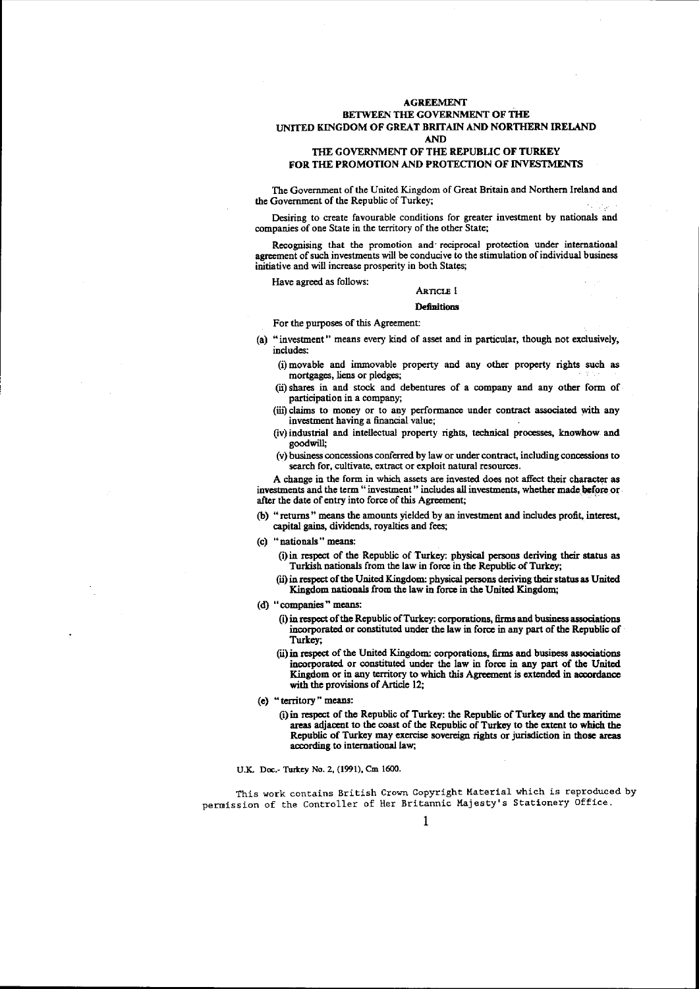#### AGREEMENT

## BETWEEN THE GOVERNMENT OF THE UNITED KINGDOM OF GREAT BRITAIN AND NORTIlERN IRELAND AND

# THE GOVERNMENT OF THE REPUBLIC OF TURKEY FOR THE PROMOTION AND PROTECTION OF INVESTMENTS

The Government of the United Kingdom of Great Britain and Northern Ireland and the Government of the Republic of Turkey;

Desiring to create favourable conditions for greater investment by nationals and companies of one State in the territory of the other State;

Recognising that the promotion and' reciprocal protection under international agreement of such investments will be conducive to the stimulation of individual business initiative and will increase prosperity in both States;

Have agreed as follows:

# ARTICLE I

**Definitions** For the purposes of this Agreement:

- (a) "investment" means every kind of asset and in particular, though not exclusively, includes:
	- (i) movable and immovable property and any other property rights such as mortgages, liens or pledges;
	- (ii) shares in and stock and debentures of a company and any other form of participation in a company;
	- (iii) claims to money or to any performance under contract associated with any investment having a financial value;
	- (iv) industrial and intellectual property rights, technical processes, knowhow and goodwill;
	- (v) business concessions conferred by law or under contract, including concessions to search for, cultivate, extract or exploit natural resources.

A change in the form in which assets are invested does not affect their character as investments and the term " investment " includes all investments, whether made before or after the date of entry into force of this Agreement;

- (b) "returns" means the amounts yielded by an investment and includes profit, interest, capital gains, dividends, royalties and fees;
- (c) "nationals" means:
	- (i) in respect of the Republic of Turkey: physical persons deriving their status as Turkish nationals from the law in force in the Republic of Turkey;
	- (ii) in respect of the United Kingdom: physical persons deriving their status as United Kingdom nationals from the law in force in the United Kingdom;
- (d) "companies" means:
	- (i) in respect of the Republic ofTurkey: corporations, firms and business associations incorporated or constituted under the law in force in any part of the Republic of Turkey;
	- (ii) in respect of the United Kingdom: corporations, firms and business associations incorporated or constituted under the law in force in any part of the United Kingdom or in any territory to which this Agreement is extended in accordance with the provisions of Article 12;
- (e) "territory" means:
	- (i) in respect of the Republic of Turkey: the Republic of Turkey and the maritime areas adjacent to the coast of the Republic of Turkey to the extent to which the Republic of Turkey may exercise sovereign rights or jurisdiction in those areas according to international law;
- U.K. Doc.- Turkey No. 2, (1991), Cm 1600.

**This work contains British Crown Copyright Material which is reproduced by**  permission of the Controller of Her Britannic Majesty's Stationery Office.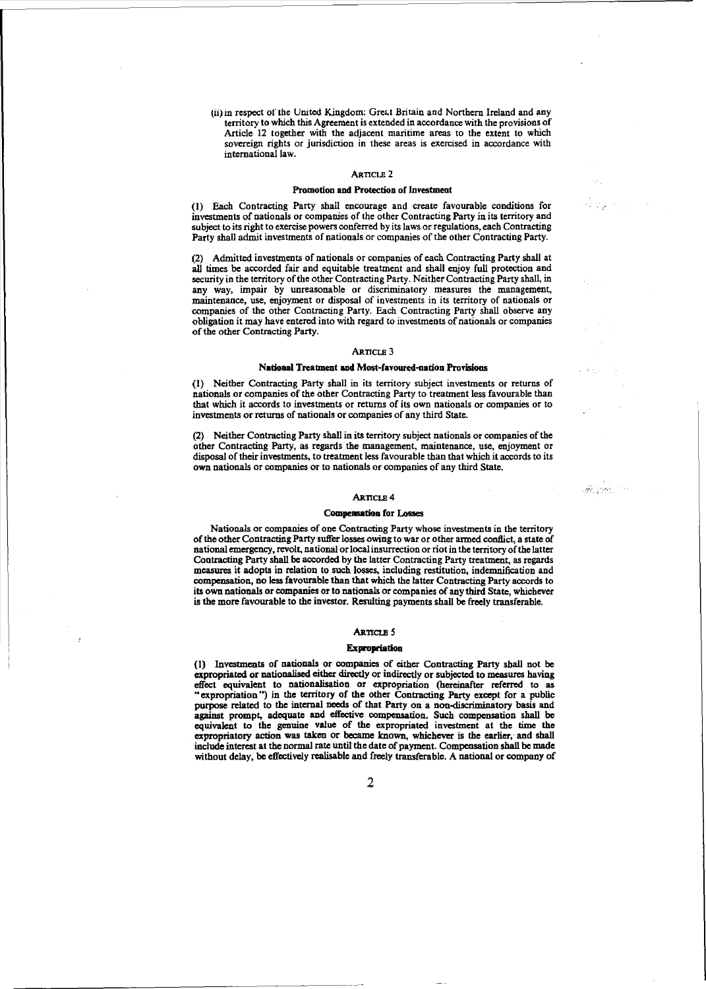(ii) in respect of the United Kingdom: Great Britain and Northern Ireland and any territory to which this Agreement is extended in accordance with the provisions of Article 12 together with the adjacent maritime areas to the extent to which sovereign rights or jurisdiction in these areas is exercised in accordance with international law.

# **ARTICLE 2**

#### Promotion and Protection of Investment

(I) Each Contracting Party shall encourage and create favourable conditions for investments of nationals or companies of Ihe other Contracting Party in its territory and subject to its right to exercise powers conferred by its laws or regulations, each Contracting Party shall admit investments of nationals or companies of the other Contracting Party.

a biy

(2) Admitted investments of nationals or companies of each Contracting Party shall at all times be accorded fair and equitable treatment and shall enjoy full protection and security in the territory of the other Contracting Party. Neitber Contracting Party shall, in any way, impair by unreasonable or discriminatory measures the management, maintenance, use, enjoyment or disposal of investments in its territory of nationals or companies of the other Contracting Party. Each Contracting Party shall observe any obligation it may have entered into with regard to investments of nationals or companies of the other Contracting Party.

#### **ARTICLE 3**

#### National Treatment and Most-favoured-nation Provisions

(I) Neither Contracting Party shall in its territory subject investments or returns of nationals or companies of the other Contracting Party to treatment less favourable than that which it accords to investments or returns of its own nationals or companies or to investments or returns of nationals or companies of any third State.

(2) Neither Contracting Party sball in its territory subject nationals or companies of the other Contracting Party, as regards the management, maintenance, use, enjoyment or disposal of their investments, to treatment less favourable than that which it accords to its own nationals or companies or to nationals or companies of any third State.

#### ARTICLE 4

#### Compensation for Losses

Nationals or companies of one Contracting Party whose investments in the territory of the other Contracting Party suffer losses owing to war or other armed conflict, a state of national emergency, revolt, national or local insurrection or riot in the territory of the latter Contracting Party sball be accorded by the latter Contracting Party treatment, as regards measures it adopts in relation to such losses, including restitution, indemnification and compensation. no less favourable than that which the latter Contracting Party accords to its own nationals or companies or to nationals or companies of any third State. whicbever is the more favourable to the investor. Resulting payments shall be freely transferable.

#### **ARTICLE 5**

#### **Expropriation**

(I) Investments of nationals or companies of either Contracting Party shall not be expropriated or nationalised either directly or indirectly or subjected to measures having effect equivalent to nationalisation or expropriation (hereinafter referred to as "expropriation ") in the territory of the other Contracting Party except for a public purpose related to the internal needs of that Party on a non-discriminatory basis and against prompt, adequate and effective compensation. Such compensation shall be equivalent to the genuine value of the expropriated investment at the time the expropriatory action was taken or became known, whichever is the earlier, and shall include interest at the normal rate until the date of payment. Compensation sball be made without delay. be effectively realisable and freely transferable. A national or company of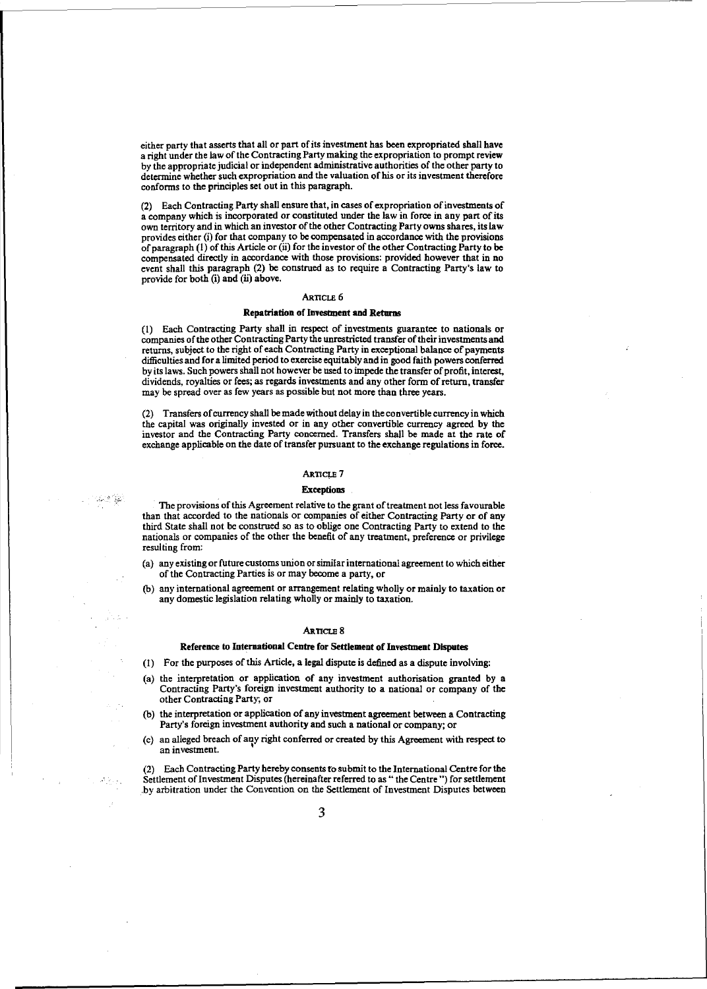either party that asserts that all or part of its investment has been expropriated shall have a right under the law of the Contracting Party making the expropriation to prompt review by the appropriate judicial or independent administrative authorities of the other party to determine whether such expropriation and the valuation of his or its investment therefore conforms to the principles set out in this paragraph.

(2) Each Contracting Party shall ensure that, in cases of expropriation ofinvestments of a company which is incorporated or constituted under the law in force in any part ofits own territory and in which an investor of the other Contracting Party owns shares, its law provides either (i) for that company to be compensated in accordance with the provisions of paragraph (I) of this Article or (ii) for the investor of the other Contracting Party to be compensated directly in accordance with those provisions: provided however that in no event shall this paragraph (2) be construed as to require a Contracting Party's law to provide for both (i) and (ii) above.

## ARTICLE 6

# Repatriation of Investment and Returns

(I) Each Contracting Party shall in respect of investments guarantee to nationals or companies of the other Contracting Party the unrestricted transfer of their investments and returns, subject to the right of each Contracting Party in exceptional balance of payments difficulties and for a limited period to exercise equitably and in good faith powers conferred by its laws. Such powers shall not however be used to impede the transfer of profit, interest, dividends, royalties or fees; as regards investments and any other fonn of return, transfer may be spread over as few years as possible but not more than three years.

(2) Transfers of currency shall be made without delay in the convertible currency in which the capital was originally invested or in any other convertible currency agreed by the investor and the Contracting Party concerned. Transfers shall be made at the rate of exchange applicable on the date of transfer pursuant to the exchange regulations in force.

## ARTICLE 7

## **Exceptions**

122 S

The provisions of this Agreement relative to the grant of treatment not less favourable than that accorded to the nationals or companies of either Contracting Party or of any third State shall not be construed so as to oblige one Contracting Party to extend to the nationals or companies of the other the benefit of any treatment, preference or privilege resulting from:

- (a) any existing or future customs union or similar international agreement to which either of the Contracting Parties is or may become a party, or
- (b) any international agreement or arrangement relating wholly or mainly to taxation or any domestic legislation relating wholly or mainly to taxation.

## **ARTICLE 8**

## Reference to International Centre for Settlement of Investment Disputes

(I) For the purposes ofthis Article, a legal dispute is defined as a dispute involving:

- (a) the interpretation or application of any investment authorisation granted by a Contracting Party's foreign investment authority to a national or company of the other Contracting Party; or
- (b) the interpretation or application of any investment agreement between a Contracting Party's foreign investment authority and such a national or company; or
- (c) an alleged breach of any right conferred or created by this Agreement with respect to **an investment. <sup>t</sup>**

Each Contracting Party hereby consents to submit to the International Centre for the Settlement of Investment Disputes (hereinafter referred to as "the Centre") for settlement .by arbitration under the Convention on the Settlement of Investment Disputes between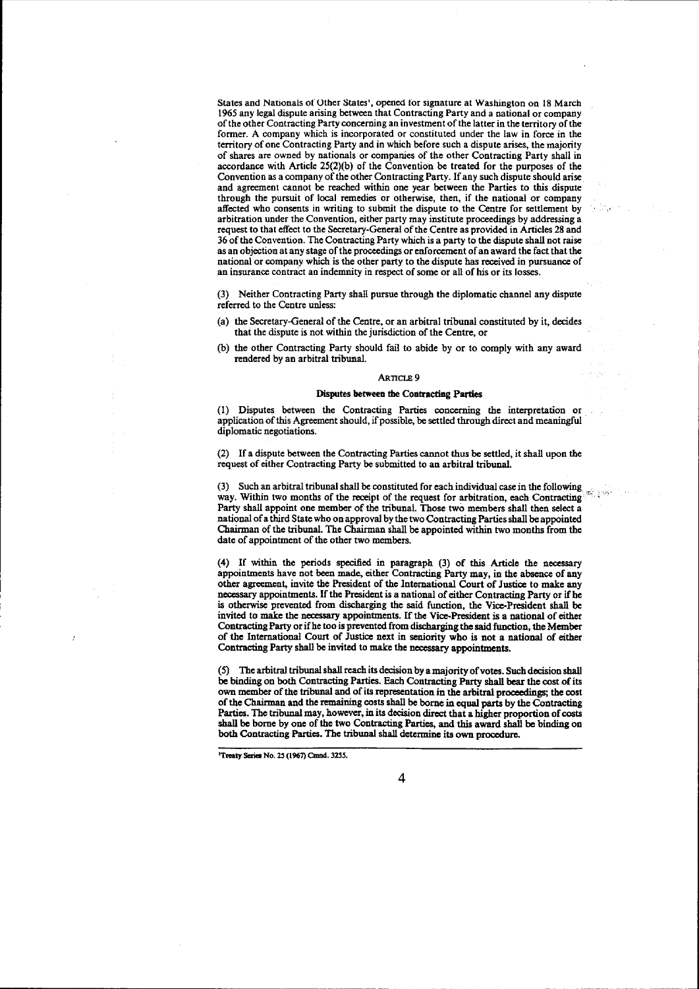States and Nationals of Other States', opened for signature at Washington on 18 March 1965 any legal dispute arising between that Contracting Party and a national or company of the other Contracting Party concerning an investment of the latter in the territory of the former. A company which is incorporated or constituted under the law in force in the territory of one Contracting Party and in which before such a dispute arises, the majority of shares are owned by nationals or companies of the other Contracting Party shall in accordance with Article 25(2)(b) of the Convention be treated for the purposes of the Convention as a company of the other Contracting Party. If any such dispute should arise and agreement cannot be reached within one year between the Parties to this dispute through the pursuit of local remedies or otherwise, then, if the national or company affected who consents in writing to submit the dispute to the Centre for settlement by arbitration under the Convention, either party may institute proceedings by addressing a request to that effect to the Secretary-General of the Centre as provided in Articles 28 and 36 of the Convention. The Contracting Party which is a party to the dispute shall not raise as an objection at any stage of the proceedings or enforcement of an award the fact that the national or company which is the other party to the dispute has received in pursuance of an insurance contract an indemnity in respect of some or all of his or its losses.

(3) Neither Contracting Party shall pursue through the diplomatic channel any dispute referred to the Centre unless:

- (a) the Secretary-General of the Centre, or an arbitral tribunal constituted by it, decides that the dispute is not within the jurisdiction of the Centre, or
- (b) the other Contracting Party should fail to abide by or to comply with any award rendered by an arbitral tribunal.

## ARTICLE 9

# Disputes between the Contracting Parties

(1) Disputes between the Contracting Parties concerning the interpretation or application of this Agreement should, if possible, be settled through direct and meaningful diplomatic negotiations.

(2) If a dispute between the Contracting Parties cannot thus be settled, it shall upon the request of either Contracting Party be submitted to an arbitral tribunal.

(3) Such an arbitral tribunal shall be constituted for each individual case in the following way. Within two months of the receipt of the request for arbitration, each Contracting Party shall appoint one member of the tribunal. Those two members shall then select a national of a third State who on approval by the two Contracting Parties shall be appointed Chairman of the tribunal. The Chairman shall be appointed within two months from the date of appointment of the other two members.

(4) If within the periods specified in paragraph (3) of this Article the necessary appointments have not been made, either Contracting Party may, in the absence of any other agreement, invite the President of the International Court of Justice to make any necessary appointments. If the President is a national of either Contracting Party or if he is otherwise prevented from discharging the said function. the Vice-President shall be invited to make the necessary appointments. If the Vice-President is a national of either Contracting Party or if he too is prevented from discharging the said function, the Member of the International Court of Justice next in seniority who is not a national of either Contracting Party shall be invited to make the necessary appointments.

(5) The arbitral tribunal shall reach its decision by a majority of votes. Such decision shall be binding on both Contracting Parties. Each Contracting Party shall bear the cost of its own member of the tribunal and of its representation in the arbitral proceedings; the cost of the Chairman and the remaining costs shall be borne in equal parts by the Contracting Parties. The tribunal may, however, in its decision direct that a higher proportion of costs shall be borne by one of the two Contracting Parties, and this award shall be binding on both Contracting Parties. The tribunal shall determine its own procedure.

'Treaty Scriet No. *15* (1967) Cmnd. *3155.* 

## 4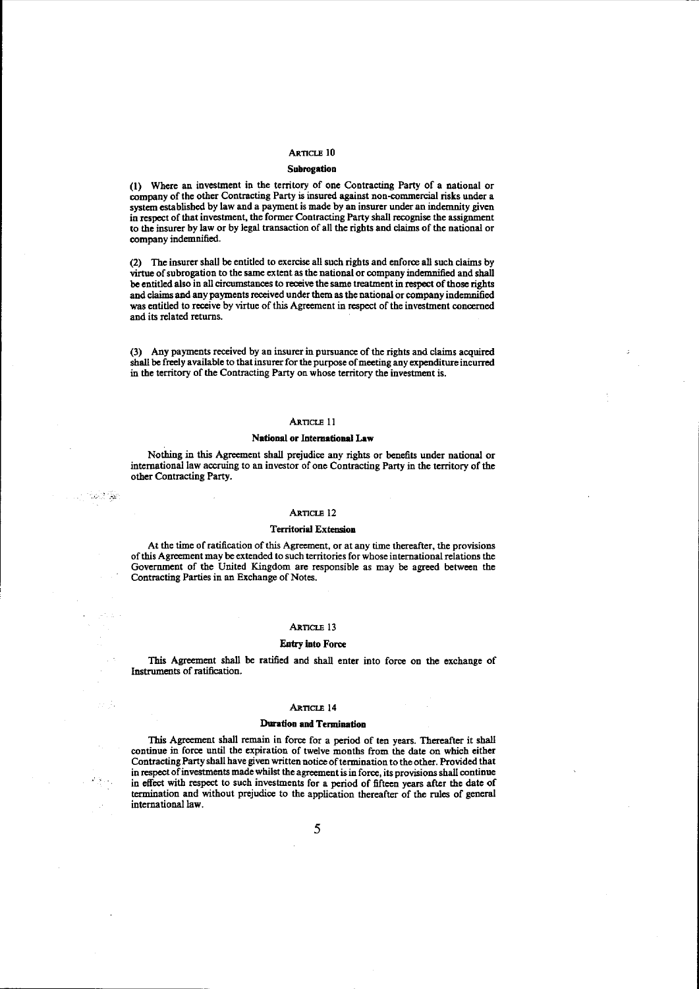## ARTICLE 10

## Subrogation

(I) Where an investment in the territory of one Contracting Party of a national or company of the other Contracting Party is insured against non-commercial risks under a system established by law and a payment is made by an insurer under an indemnity given in respect of that investment, the former Contracting Party shall recognise the assignment to the insurer by law or by legal transaction of all the rights and claims of the national or company indemnified.

(2) The insurer shall be entitled to exercise all such rights and enforce all such claims by virtue of SUbrogation to the same extent as the national or company indemnified and shall be entitled also in all circumstances to receive the same treatment in respect of those rights and claims and any payments received under them as the national or company indemnified was entitled to receive by virtue of this Agreement in respect of the investment concerned and its related returns.

(3) Any payments received by an insurer in pursuance of the rights and claims acquired shall be freely available to that insurer for the purpose of meeting any expenditure incurred in the territory of the Contracting Party on whose territory the investment is.

#### ARTICLE 11

## National or International Law

Nothing in this Agreement shall prejudice any rights or benefits under national or international law accruing to an investor of one Contracting Party in the territory of the other Contracting Party.

## ARTICLE 12

tuan ik

ski I.

## **Territorial Extension**

At the time of ratification of this Agreement, or at any time thereafter, the provisions of this Agreement may be extended to such territories for whose international relations the Government of the United Kingdom are responsible as may be agreed between the Contracting Parties in an Exchange of Notes.

# ARTICLE 13

## Entry into Force

This Agreement shall be ratified and shall enter into force on the exchange of Instruments of ratification.

## ARTICLE 14

# Duration and Termination

This Agreement shall remain in force for a period of ten years. Thereafter it shall continue in force until the expiration of twelve months from the date on which either Contracting Party shall have given written notice of termination to the other. Provided that in respect of investments made whilst the agreement is in force, its provisions shall continue in effect with respect to such investments for a period of fifteen years after the date of termination and without prejudice to the application thereafter of the rules of general international law.